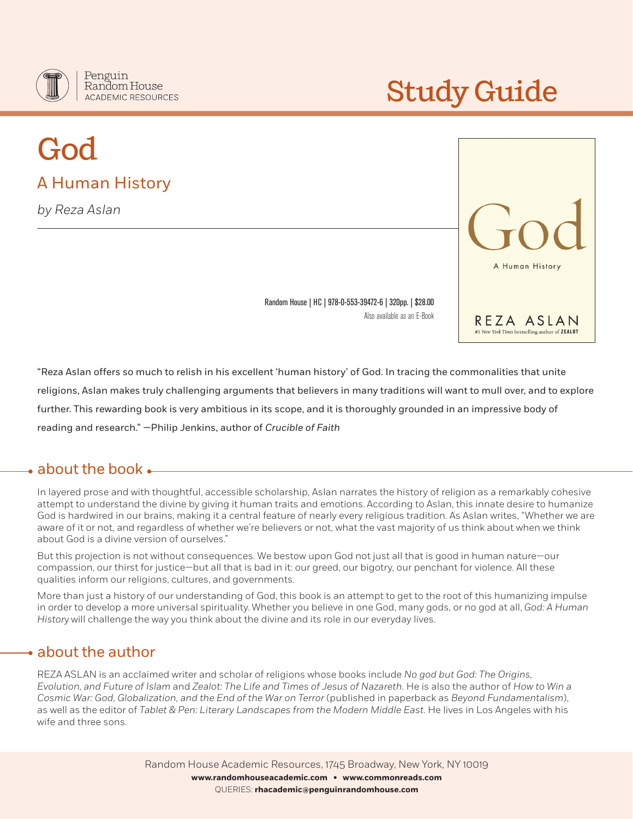

# Study Guide

# God A Human History

*by Reza Aslan*



Random House | HC | 978-0-553-39472-6 | 320pp. | \$28.00 Also available as an E-Book

"Reza Aslan offers so much to relish in his excellent 'human history' of God. In tracing the commonalities that unite religions, Aslan makes truly challenging arguments that believers in many traditions will want to mull over, and to explore further. This rewarding book is very ambitious in its scope, and it is thoroughly grounded in an impressive body of reading and research." —Philip Jenkins, author of *Crucible of Faith*

# about the book

In layered prose and with thoughtful, accessible scholarship, Aslan narrates the history of religion as a remarkably cohesive attempt to understand the divine by giving it human traits and emotions. According to Aslan, this innate desire to humanize God is hardwired in our brains, making it a central feature of nearly every religious tradition. As Aslan writes, "Whether we are aware of it or not, and regardless of whether we're believers or not, what the vast majority of us think about when we think about God is a divine version of ourselves."

But this projection is not without consequences. We bestow upon God not just all that is good in human nature—our compassion, our thirst for justice—but all that is bad in it: our greed, our bigotry, our penchant for violence. All these qualities inform our religions, cultures, and governments.

More than just a history of our understanding of God, this book is an attempt to get to the root of this humanizing impulse in order to develop a more universal spirituality. Whether you believe in one God, many gods, or no god at all, *God: A Human Histor*y will challenge the way you think about the divine and its role in our everyday lives.

# about the author

REZA ASLAN is an acclaimed writer and scholar of religions whose books include *No god but God: The Origins, Evolution, and Future of Islam* and *Zealot: The Life and Times of Jesus of Nazareth*. He is also the author of *How to Win a Cosmic War: God, Globalization, and the End of the War on Terror* (published in paperback as *Beyond Fundamentalism*), as well as the editor of *Tablet & Pen: Literary Landscapes from the Modern Middle East*. He lives in Los Angeles with his wife and three sons.

> Random House Academic Resources, 1745 Broadway, New York, NY 10019 **www.randomhouseacademic.com • www.commonreads.com** QUERIES: **rhacademic@penguinrandomhouse.com**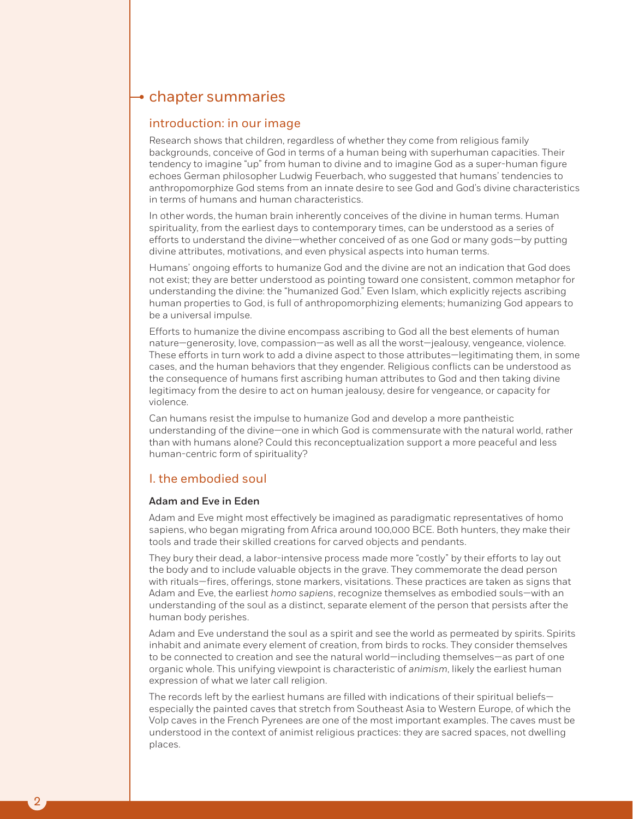# $\rightarrow$  chapter summaries

#### introduction: in our image

Research shows that children, regardless of whether they come from religious family backgrounds, conceive of God in terms of a human being with superhuman capacities. Their tendency to imagine "up" from human to divine and to imagine God as a super-human figure echoes German philosopher Ludwig Feuerbach, who suggested that humans' tendencies to anthropomorphize God stems from an innate desire to see God and God's divine characteristics in terms of humans and human characteristics.

In other words, the human brain inherently conceives of the divine in human terms. Human spirituality, from the earliest days to contemporary times, can be understood as a series of efforts to understand the divine—whether conceived of as one God or many gods—by putting divine attributes, motivations, and even physical aspects into human terms.

Humans' ongoing efforts to humanize God and the divine are not an indication that God does not exist; they are better understood as pointing toward one consistent, common metaphor for understanding the divine: the "humanized God." Even Islam, which explicitly rejects ascribing human properties to God, is full of anthropomorphizing elements; humanizing God appears to be a universal impulse.

Efforts to humanize the divine encompass ascribing to God all the best elements of human nature—generosity, love, compassion—as well as all the worst—jealousy, vengeance, violence. These efforts in turn work to add a divine aspect to those attributes—legitimating them, in some cases, and the human behaviors that they engender. Religious conflicts can be understood as the consequence of humans first ascribing human attributes to God and then taking divine legitimacy from the desire to act on human jealousy, desire for vengeance, or capacity for violence.

Can humans resist the impulse to humanize God and develop a more pantheistic understanding of the divine—one in which God is commensurate with the natural world, rather than with humans alone? Could this reconceptualization support a more peaceful and less human-centric form of spirituality?

#### I. the embodied soul

#### Adam and Eve in Eden

Adam and Eve might most effectively be imagined as paradigmatic representatives of homo sapiens, who began migrating from Africa around 100,000 BCE. Both hunters, they make their tools and trade their skilled creations for carved objects and pendants.

They bury their dead, a labor-intensive process made more "costly" by their efforts to lay out the body and to include valuable objects in the grave. They commemorate the dead person with rituals—fires, offerings, stone markers, visitations. These practices are taken as signs that Adam and Eve, the earliest *homo sapiens*, recognize themselves as embodied souls—with an understanding of the soul as a distinct, separate element of the person that persists after the human body perishes.

Adam and Eve understand the soul as a spirit and see the world as permeated by spirits. Spirits inhabit and animate every element of creation, from birds to rocks. They consider themselves to be connected to creation and see the natural world—including themselves—as part of one organic whole. This unifying viewpoint is characteristic of *animism*, likely the earliest human expression of what we later call religion.

The records left by the earliest humans are filled with indications of their spiritual beliefsespecially the painted caves that stretch from Southeast Asia to Western Europe, of which the Volp caves in the French Pyrenees are one of the most important examples. The caves must be understood in the context of animist religious practices: they are sacred spaces, not dwelling places.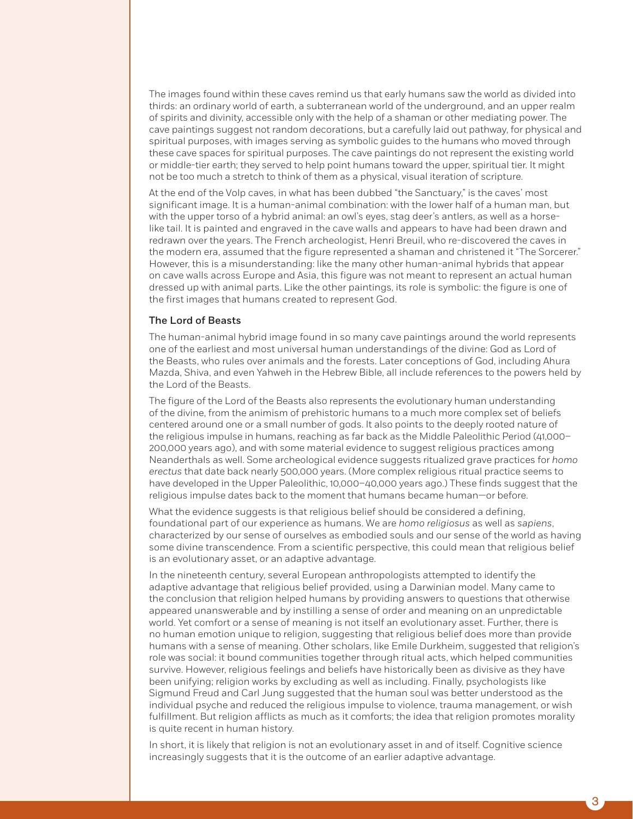The images found within these caves remind us that early humans saw the world as divided into thirds: an ordinary world of earth, a subterranean world of the underground, and an upper realm of spirits and divinity, accessible only with the help of a shaman or other mediating power. The cave paintings suggest not random decorations, but a carefully laid out pathway, for physical and spiritual purposes, with images serving as symbolic guides to the humans who moved through these cave spaces for spiritual purposes. The cave paintings do not represent the existing world or middle-tier earth; they served to help point humans toward the upper, spiritual tier. It might not be too much a stretch to think of them as a physical, visual iteration of scripture.

At the end of the Volp caves, in what has been dubbed "the Sanctuary," is the caves' most significant image. It is a human-animal combination: with the lower half of a human man, but with the upper torso of a hybrid animal: an owl's eyes, stag deer's antlers, as well as a horselike tail. It is painted and engraved in the cave walls and appears to have had been drawn and redrawn over the years. The French archeologist, Henri Breuil, who re-discovered the caves in the modern era, assumed that the figure represented a shaman and christened it "The Sorcerer." However, this is a misunderstanding: like the many other human-animal hybrids that appear on cave walls across Europe and Asia, this figure was not meant to represent an actual human dressed up with animal parts. Like the other paintings, its role is symbolic: the figure is one of the first images that humans created to represent God.

#### The Lord of Beasts

The human-animal hybrid image found in so many cave paintings around the world represents one of the earliest and most universal human understandings of the divine: God as Lord of the Beasts, who rules over animals and the forests. Later conceptions of God, including Ahura Mazda, Shiva, and even Yahweh in the Hebrew Bible, all include references to the powers held by the Lord of the Beasts.

The figure of the Lord of the Beasts also represents the evolutionary human understanding of the divine, from the animism of prehistoric humans to a much more complex set of beliefs centered around one or a small number of gods. It also points to the deeply rooted nature of the religious impulse in humans, reaching as far back as the Middle Paleolithic Period (41,000– 200,000 years ago), and with some material evidence to suggest religious practices among Neanderthals as well. Some archeological evidence suggests ritualized grave practices for *homo erectus* that date back nearly 500,000 years. (More complex religious ritual practice seems to have developed in the Upper Paleolithic, 10,000–40,000 years ago.) These finds suggest that the religious impulse dates back to the moment that humans became human—or before.

What the evidence suggests is that religious belief should be considered a defining, foundational part of our experience as humans. We are *homo religiosus* as well as *sapiens*, characterized by our sense of ourselves as embodied souls and our sense of the world as having some divine transcendence. From a scientific perspective, this could mean that religious belief is an evolutionary asset, or an adaptive advantage.

In the nineteenth century, several European anthropologists attempted to identify the adaptive advantage that religious belief provided, using a Darwinian model. Many came to the conclusion that religion helped humans by providing answers to questions that otherwise appeared unanswerable and by instilling a sense of order and meaning on an unpredictable world. Yet comfort or a sense of meaning is not itself an evolutionary asset. Further, there is no human emotion unique to religion, suggesting that religious belief does more than provide humans with a sense of meaning. Other scholars, like Emile Durkheim, suggested that religion's role was social: it bound communities together through ritual acts, which helped communities survive. However, religious feelings and beliefs have historically been as divisive as they have been unifying; religion works by excluding as well as including. Finally, psychologists like Sigmund Freud and Carl Jung suggested that the human soul was better understood as the individual psyche and reduced the religious impulse to violence, trauma management, or wish fulfillment. But religion afflicts as much as it comforts; the idea that religion promotes morality is quite recent in human history.

In short, it is likely that religion is not an evolutionary asset in and of itself. Cognitive science increasingly suggests that it is the outcome of an earlier adaptive advantage.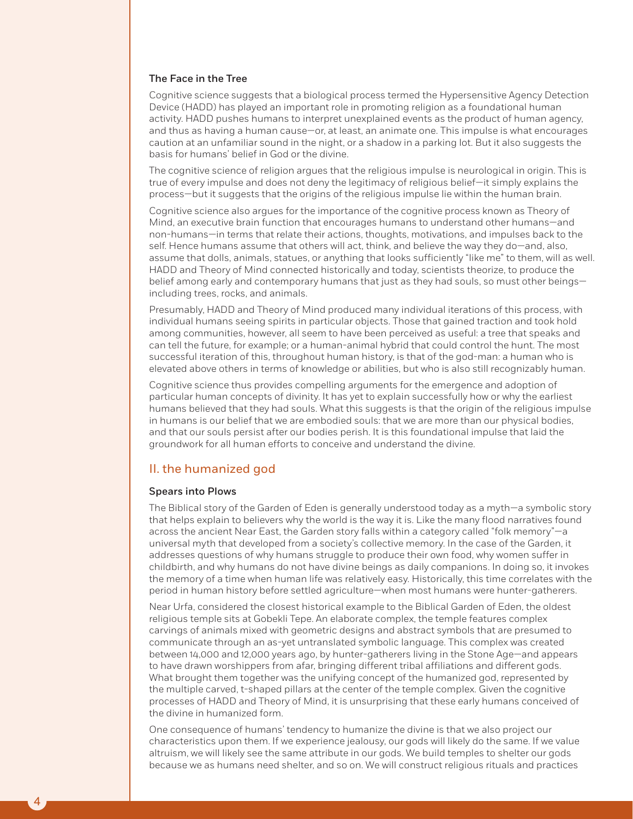#### The Face in the Tree

Cognitive science suggests that a biological process termed the Hypersensitive Agency Detection Device (HADD) has played an important role in promoting religion as a foundational human activity. HADD pushes humans to interpret unexplained events as the product of human agency, and thus as having a human cause—or, at least, an animate one. This impulse is what encourages caution at an unfamiliar sound in the night, or a shadow in a parking lot. But it also suggests the basis for humans' belief in God or the divine.

The cognitive science of religion argues that the religious impulse is neurological in origin. This is true of every impulse and does not deny the legitimacy of religious belief—it simply explains the process—but it suggests that the origins of the religious impulse lie within the human brain.

Cognitive science also argues for the importance of the cognitive process known as Theory of Mind, an executive brain function that encourages humans to understand other humans—and non-humans—in terms that relate their actions, thoughts, motivations, and impulses back to the self. Hence humans assume that others will act, think, and believe the way they do—and, also, assume that dolls, animals, statues, or anything that looks sufficiently "like me" to them, will as well. HADD and Theory of Mind connected historically and today, scientists theorize, to produce the belief among early and contemporary humans that just as they had souls, so must other beingsincluding trees, rocks, and animals.

Presumably, HADD and Theory of Mind produced many individual iterations of this process, with individual humans seeing spirits in particular objects. Those that gained traction and took hold among communities, however, all seem to have been perceived as useful: a tree that speaks and can tell the future, for example; or a human-animal hybrid that could control the hunt. The most successful iteration of this, throughout human history, is that of the god-man: a human who is elevated above others in terms of knowledge or abilities, but who is also still recognizably human.

Cognitive science thus provides compelling arguments for the emergence and adoption of particular human concepts of divinity. It has yet to explain successfully how or why the earliest humans believed that they had souls. What this suggests is that the origin of the religious impulse in humans is our belief that we are embodied souls: that we are more than our physical bodies, and that our souls persist after our bodies perish. It is this foundational impulse that laid the groundwork for all human efforts to conceive and understand the divine.

#### II. the humanized god

#### Spears into Plows

4

The Biblical story of the Garden of Eden is generally understood today as a myth—a symbolic story that helps explain to believers why the world is the way it is. Like the many flood narratives found across the ancient Near East, the Garden story falls within a category called "folk memory"—a universal myth that developed from a society's collective memory. In the case of the Garden, it addresses questions of why humans struggle to produce their own food, why women suffer in childbirth, and why humans do not have divine beings as daily companions. In doing so, it invokes the memory of a time when human life was relatively easy. Historically, this time correlates with the period in human history before settled agriculture—when most humans were hunter-gatherers.

Near Urfa, considered the closest historical example to the Biblical Garden of Eden, the oldest religious temple sits at Gobekli Tepe. An elaborate complex, the temple features complex carvings of animals mixed with geometric designs and abstract symbols that are presumed to communicate through an as-yet untranslated symbolic language. This complex was created between 14,000 and 12,000 years ago, by hunter-gatherers living in the Stone Age—and appears to have drawn worshippers from afar, bringing different tribal affiliations and different gods. What brought them together was the unifying concept of the humanized god, represented by the multiple carved, t-shaped pillars at the center of the temple complex. Given the cognitive processes of HADD and Theory of Mind, it is unsurprising that these early humans conceived of the divine in humanized form.

One consequence of humans' tendency to humanize the divine is that we also project our characteristics upon them. If we experience jealousy, our gods will likely do the same. If we value altruism, we will likely see the same attribute in our gods. We build temples to shelter our gods because we as humans need shelter, and so on. We will construct religious rituals and practices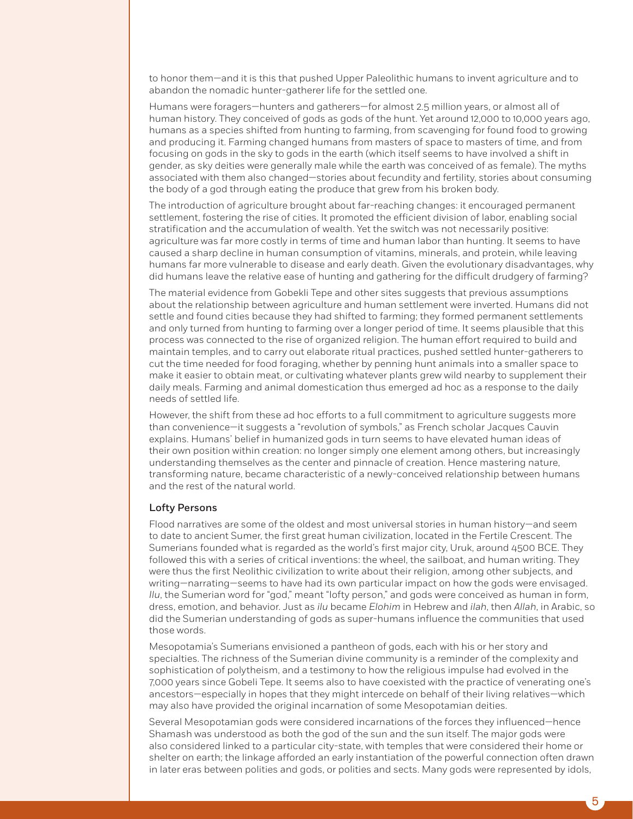to honor them—and it is this that pushed Upper Paleolithic humans to invent agriculture and to abandon the nomadic hunter-gatherer life for the settled one.

Humans were foragers—hunters and gatherers—for almost 2.5 million years, or almost all of human history. They conceived of gods as gods of the hunt. Yet around 12,000 to 10,000 years ago, humans as a species shifted from hunting to farming, from scavenging for found food to growing and producing it. Farming changed humans from masters of space to masters of time, and from focusing on gods in the sky to gods in the earth (which itself seems to have involved a shift in gender, as sky deities were generally male while the earth was conceived of as female). The myths associated with them also changed—stories about fecundity and fertility, stories about consuming the body of a god through eating the produce that grew from his broken body.

The introduction of agriculture brought about far-reaching changes: it encouraged permanent settlement, fostering the rise of cities. It promoted the efficient division of labor, enabling social stratification and the accumulation of wealth. Yet the switch was not necessarily positive: agriculture was far more costly in terms of time and human labor than hunting. It seems to have caused a sharp decline in human consumption of vitamins, minerals, and protein, while leaving humans far more vulnerable to disease and early death. Given the evolutionary disadvantages, why did humans leave the relative ease of hunting and gathering for the difficult drudgery of farming?

The material evidence from Gobekli Tepe and other sites suggests that previous assumptions about the relationship between agriculture and human settlement were inverted. Humans did not settle and found cities because they had shifted to farming; they formed permanent settlements and only turned from hunting to farming over a longer period of time. It seems plausible that this process was connected to the rise of organized religion. The human effort required to build and maintain temples, and to carry out elaborate ritual practices, pushed settled hunter-gatherers to cut the time needed for food foraging, whether by penning hunt animals into a smaller space to make it easier to obtain meat, or cultivating whatever plants grew wild nearby to supplement their daily meals. Farming and animal domestication thus emerged ad hoc as a response to the daily needs of settled life.

However, the shift from these ad hoc efforts to a full commitment to agriculture suggests more than convenience—it suggests a "revolution of symbols," as French scholar Jacques Cauvin explains. Humans' belief in humanized gods in turn seems to have elevated human ideas of their own position within creation: no longer simply one element among others, but increasingly understanding themselves as the center and pinnacle of creation. Hence mastering nature, transforming nature, became characteristic of a newly-conceived relationship between humans and the rest of the natural world.

#### Lofty Persons

Flood narratives are some of the oldest and most universal stories in human history—and seem to date to ancient Sumer, the first great human civilization, located in the Fertile Crescent. The Sumerians founded what is regarded as the world's first major city, Uruk, around 4500 BCE. They followed this with a series of critical inventions: the wheel, the sailboat, and human writing. They were thus the first Neolithic civilization to write about their religion, among other subjects, and writing—narrating—seems to have had its own particular impact on how the gods were envisaged. *Ilu*, the Sumerian word for "god," meant "lofty person," and gods were conceived as human in form, dress, emotion, and behavior. Just as *ilu* became *Elohim* in Hebrew and *ilah*, then *Allah*, in Arabic, so did the Sumerian understanding of gods as super-humans influence the communities that used those words.

Mesopotamia's Sumerians envisioned a pantheon of gods, each with his or her story and specialties. The richness of the Sumerian divine community is a reminder of the complexity and sophistication of polytheism, and a testimony to how the religious impulse had evolved in the 7,000 years since Gobeli Tepe. It seems also to have coexisted with the practice of venerating one's ancestors—especially in hopes that they might intercede on behalf of their living relatives—which may also have provided the original incarnation of some Mesopotamian deities.

Several Mesopotamian gods were considered incarnations of the forces they influenced—hence Shamash was understood as both the god of the sun and the sun itself. The major gods were also considered linked to a particular city-state, with temples that were considered their home or shelter on earth; the linkage afforded an early instantiation of the powerful connection often drawn in later eras between polities and gods, or polities and sects. Many gods were represented by idols,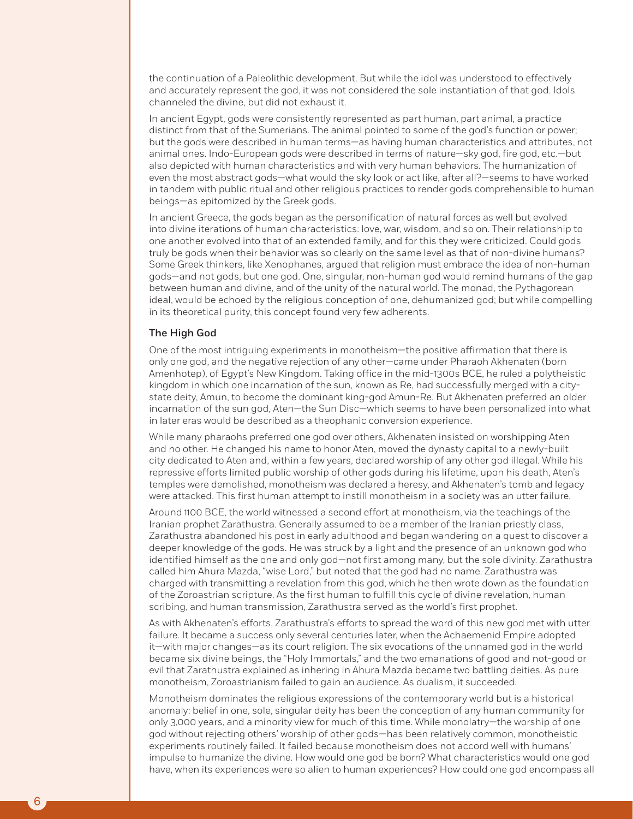the continuation of a Paleolithic development. But while the idol was understood to effectively and accurately represent the god, it was not considered the sole instantiation of that god. Idols channeled the divine, but did not exhaust it.

In ancient Egypt, gods were consistently represented as part human, part animal, a practice distinct from that of the Sumerians. The animal pointed to some of the god's function or power; but the gods were described in human terms—as having human characteristics and attributes, not animal ones. Indo-European gods were described in terms of nature—sky god, fire god, etc.—but also depicted with human characteristics and with very human behaviors. The humanization of even the most abstract gods—what would the sky look or act like, after all?—seems to have worked in tandem with public ritual and other religious practices to render gods comprehensible to human beings—as epitomized by the Greek gods.

In ancient Greece, the gods began as the personification of natural forces as well but evolved into divine iterations of human characteristics: love, war, wisdom, and so on. Their relationship to one another evolved into that of an extended family, and for this they were criticized. Could gods truly be gods when their behavior was so clearly on the same level as that of non-divine humans? Some Greek thinkers, like Xenophanes, argued that religion must embrace the idea of non-human gods—and not gods, but one god. One, singular, non-human god would remind humans of the gap between human and divine, and of the unity of the natural world. The monad, the Pythagorean ideal, would be echoed by the religious conception of one, dehumanized god; but while compelling in its theoretical purity, this concept found very few adherents.

#### The High God

One of the most intriguing experiments in monotheism—the positive affirmation that there is only one god, and the negative rejection of any other—came under Pharaoh Akhenaten (born Amenhotep), of Egypt's New Kingdom. Taking office in the mid-1300s BCE, he ruled a polytheistic kingdom in which one incarnation of the sun, known as Re, had successfully merged with a citystate deity, Amun, to become the dominant king-god Amun-Re. But Akhenaten preferred an older incarnation of the sun god, Aten—the Sun Disc—which seems to have been personalized into what in later eras would be described as a theophanic conversion experience.

While many pharaohs preferred one god over others, Akhenaten insisted on worshipping Aten and no other. He changed his name to honor Aten, moved the dynasty capital to a newly-built city dedicated to Aten and, within a few years, declared worship of any other god illegal. While his repressive efforts limited public worship of other gods during his lifetime, upon his death, Aten's temples were demolished, monotheism was declared a heresy, and Akhenaten's tomb and legacy were attacked. This first human attempt to instill monotheism in a society was an utter failure.

Around 1100 BCE, the world witnessed a second effort at monotheism, via the teachings of the Iranian prophet Zarathustra. Generally assumed to be a member of the Iranian priestly class, Zarathustra abandoned his post in early adulthood and began wandering on a quest to discover a deeper knowledge of the gods. He was struck by a light and the presence of an unknown god who identified himself as the one and only god—not first among many, but the sole divinity. Zarathustra called him Ahura Mazda, "wise Lord," but noted that the god had no name. Zarathustra was charged with transmitting a revelation from this god, which he then wrote down as the foundation of the Zoroastrian scripture. As the first human to fulfill this cycle of divine revelation, human scribing, and human transmission, Zarathustra served as the world's first prophet.

As with Akhenaten's efforts, Zarathustra's efforts to spread the word of this new god met with utter failure. It became a success only several centuries later, when the Achaemenid Empire adopted it—with major changes—as its court religion. The six evocations of the unnamed god in the world became six divine beings, the "Holy Immortals," and the two emanations of good and not-good or evil that Zarathustra explained as inhering in Ahura Mazda became two battling deities. As pure monotheism, Zoroastrianism failed to gain an audience. As dualism, it succeeded.

Monotheism dominates the religious expressions of the contemporary world but is a historical anomaly: belief in one, sole, singular deity has been the conception of any human community for only 3,000 years, and a minority view for much of this time. While monolatry—the worship of one god without rejecting others' worship of other gods—has been relatively common, monotheistic experiments routinely failed. It failed because monotheism does not accord well with humans' impulse to humanize the divine. How would one god be born? What characteristics would one god have, when its experiences were so alien to human experiences? How could one god encompass all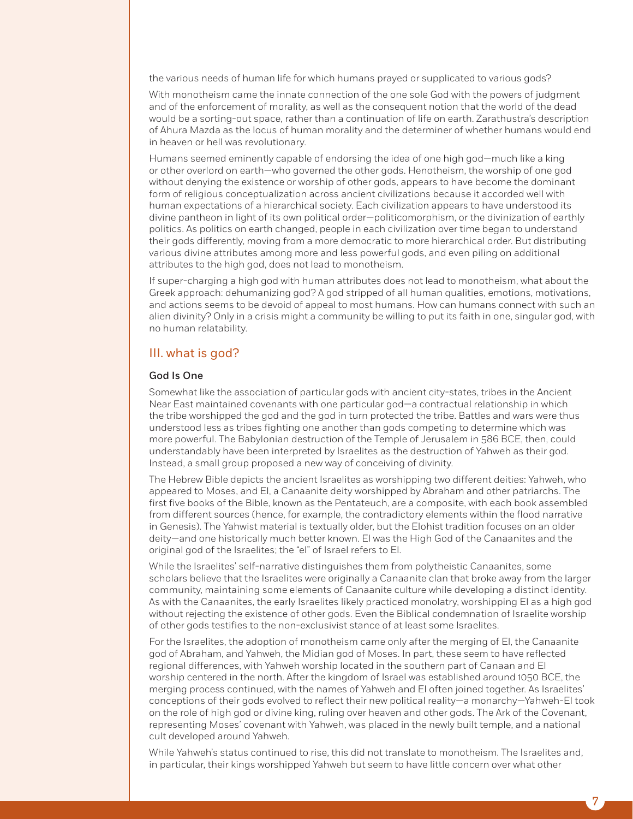the various needs of human life for which humans prayed or supplicated to various gods?

With monotheism came the innate connection of the one sole God with the powers of judgment and of the enforcement of morality, as well as the consequent notion that the world of the dead would be a sorting-out space, rather than a continuation of life on earth. Zarathustra's description of Ahura Mazda as the locus of human morality and the determiner of whether humans would end in heaven or hell was revolutionary.

Humans seemed eminently capable of endorsing the idea of one high god—much like a king or other overlord on earth—who governed the other gods. Henotheism, the worship of one god without denying the existence or worship of other gods, appears to have become the dominant form of religious conceptualization across ancient civilizations because it accorded well with human expectations of a hierarchical society. Each civilization appears to have understood its divine pantheon in light of its own political order—politicomorphism, or the divinization of earthly politics. As politics on earth changed, people in each civilization over time began to understand their gods differently, moving from a more democratic to more hierarchical order. But distributing various divine attributes among more and less powerful gods, and even piling on additional attributes to the high god, does not lead to monotheism.

If super-charging a high god with human attributes does not lead to monotheism, what about the Greek approach: dehumanizing god? A god stripped of all human qualities, emotions, motivations, and actions seems to be devoid of appeal to most humans. How can humans connect with such an alien divinity? Only in a crisis might a community be willing to put its faith in one, singular god, with no human relatability.

#### III. what is god?

#### God Is One

Somewhat like the association of particular gods with ancient city-states, tribes in the Ancient Near East maintained covenants with one particular god—a contractual relationship in which the tribe worshipped the god and the god in turn protected the tribe. Battles and wars were thus understood less as tribes fighting one another than gods competing to determine which was more powerful. The Babylonian destruction of the Temple of Jerusalem in 586 BCE, then, could understandably have been interpreted by Israelites as the destruction of Yahweh as their god. Instead, a small group proposed a new way of conceiving of divinity.

The Hebrew Bible depicts the ancient Israelites as worshipping two different deities: Yahweh, who appeared to Moses, and El, a Canaanite deity worshipped by Abraham and other patriarchs. The first five books of the Bible, known as the Pentateuch, are a composite, with each book assembled from different sources (hence, for example, the contradictory elements within the flood narrative in Genesis). The Yahwist material is textually older, but the Elohist tradition focuses on an older deity—and one historically much better known. El was the High God of the Canaanites and the original god of the Israelites; the "el" of Israel refers to El.

While the Israelites' self-narrative distinguishes them from polytheistic Canaanites, some scholars believe that the Israelites were originally a Canaanite clan that broke away from the larger community, maintaining some elements of Canaanite culture while developing a distinct identity. As with the Canaanites, the early Israelites likely practiced monolatry, worshipping El as a high god without rejecting the existence of other gods. Even the Biblical condemnation of Israelite worship of other gods testifies to the non-exclusivist stance of at least some Israelites.

For the Israelites, the adoption of monotheism came only after the merging of El, the Canaanite god of Abraham, and Yahweh, the Midian god of Moses. In part, these seem to have reflected regional differences, with Yahweh worship located in the southern part of Canaan and El worship centered in the north. After the kingdom of Israel was established around 1050 BCE, the merging process continued, with the names of Yahweh and El often joined together. As Israelites' conceptions of their gods evolved to reflect their new political reality—a monarchy—Yahweh-El took on the role of high god or divine king, ruling over heaven and other gods. The Ark of the Covenant, representing Moses' covenant with Yahweh, was placed in the newly built temple, and a national cult developed around Yahweh.

While Yahweh's status continued to rise, this did not translate to monotheism. The Israelites and, in particular, their kings worshipped Yahweh but seem to have little concern over what other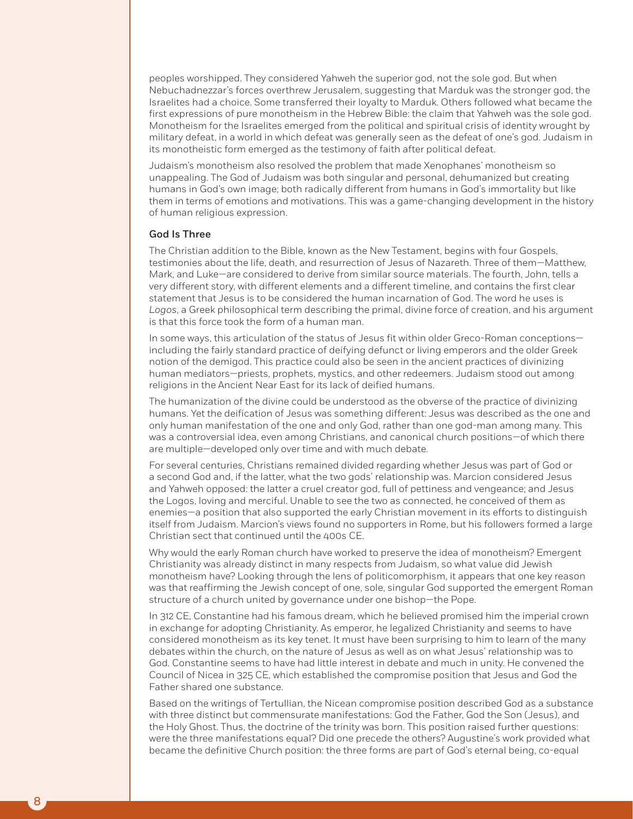peoples worshipped. They considered Yahweh the superior god, not the sole god. But when Nebuchadnezzar's forces overthrew Jerusalem, suggesting that Marduk was the stronger god, the Israelites had a choice. Some transferred their loyalty to Marduk. Others followed what became the first expressions of pure monotheism in the Hebrew Bible: the claim that Yahweh was the sole god. Monotheism for the Israelites emerged from the political and spiritual crisis of identity wrought by military defeat, in a world in which defeat was generally seen as the defeat of one's god. Judaism in its monotheistic form emerged as the testimony of faith after political defeat.

Judaism's monotheism also resolved the problem that made Xenophanes' monotheism so unappealing. The God of Judaism was both singular and personal, dehumanized but creating humans in God's own image; both radically different from humans in God's immortality but like them in terms of emotions and motivations. This was a game-changing development in the history of human religious expression.

#### God Is Three

The Christian addition to the Bible, known as the New Testament, begins with four Gospels, testimonies about the life, death, and resurrection of Jesus of Nazareth. Three of them—Matthew, Mark, and Luke—are considered to derive from similar source materials. The fourth, John, tells a very different story, with different elements and a different timeline, and contains the first clear statement that Jesus is to be considered the human incarnation of God. The word he uses is *Logos*, a Greek philosophical term describing the primal, divine force of creation, and his argument is that this force took the form of a human man.

In some ways, this articulation of the status of Jesus fit within older Greco-Roman conceptions including the fairly standard practice of deifying defunct or living emperors and the older Greek notion of the demigod. This practice could also be seen in the ancient practices of divinizing human mediators—priests, prophets, mystics, and other redeemers. Judaism stood out among religions in the Ancient Near East for its lack of deified humans.

The humanization of the divine could be understood as the obverse of the practice of divinizing humans. Yet the deification of Jesus was something different: Jesus was described as the one and only human manifestation of the one and only God, rather than one god-man among many. This was a controversial idea, even among Christians, and canonical church positions—of which there are multiple—developed only over time and with much debate.

For several centuries, Christians remained divided regarding whether Jesus was part of God or a second God and, if the latter, what the two gods' relationship was. Marcion considered Jesus and Yahweh opposed: the latter a cruel creator god, full of pettiness and vengeance; and Jesus the Logos, loving and merciful. Unable to see the two as connected, he conceived of them as enemies—a position that also supported the early Christian movement in its efforts to distinguish itself from Judaism. Marcion's views found no supporters in Rome, but his followers formed a large Christian sect that continued until the 400s CE.

Why would the early Roman church have worked to preserve the idea of monotheism? Emergent Christianity was already distinct in many respects from Judaism, so what value did Jewish monotheism have? Looking through the lens of politicomorphism, it appears that one key reason was that reaffirming the Jewish concept of one, sole, singular God supported the emergent Roman structure of a church united by governance under one bishop—the Pope.

In 312 CE, Constantine had his famous dream, which he believed promised him the imperial crown in exchange for adopting Christianity. As emperor, he legalized Christianity and seems to have considered monotheism as its key tenet. It must have been surprising to him to learn of the many debates within the church, on the nature of Jesus as well as on what Jesus' relationship was to God. Constantine seems to have had little interest in debate and much in unity. He convened the Council of Nicea in 325 CE, which established the compromise position that Jesus and God the Father shared one substance.

Based on the writings of Tertullian, the Nicean compromise position described God as a substance with three distinct but commensurate manifestations: God the Father, God the Son (Jesus), and the Holy Ghost. Thus, the doctrine of the trinity was born. This position raised further questions: were the three manifestations equal? Did one precede the others? Augustine's work provided what became the definitive Church position: the three forms are part of God's eternal being, co-equal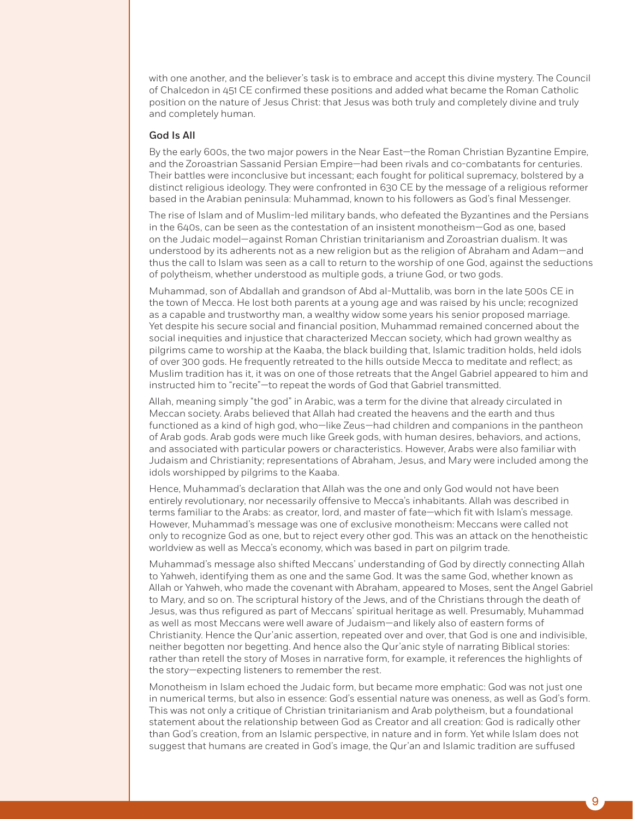with one another, and the believer's task is to embrace and accept this divine mystery. The Council of Chalcedon in 451 CE confirmed these positions and added what became the Roman Catholic position on the nature of Jesus Christ: that Jesus was both truly and completely divine and truly and completely human.

#### God Is All

By the early 600s, the two major powers in the Near East—the Roman Christian Byzantine Empire, and the Zoroastrian Sassanid Persian Empire—had been rivals and co-combatants for centuries. Their battles were inconclusive but incessant; each fought for political supremacy, bolstered by a distinct religious ideology. They were confronted in 630 CE by the message of a religious reformer based in the Arabian peninsula: Muhammad, known to his followers as God's final Messenger.

The rise of Islam and of Muslim-led military bands, who defeated the Byzantines and the Persians in the 640s, can be seen as the contestation of an insistent monotheism—God as one, based on the Judaic model—against Roman Christian trinitarianism and Zoroastrian dualism. It was understood by its adherents not as a new religion but as the religion of Abraham and Adam—and thus the call to Islam was seen as a call to return to the worship of one God, against the seductions of polytheism, whether understood as multiple gods, a triune God, or two gods.

Muhammad, son of Abdallah and grandson of Abd al-Muttalib, was born in the late 500s CE in the town of Mecca. He lost both parents at a young age and was raised by his uncle; recognized as a capable and trustworthy man, a wealthy widow some years his senior proposed marriage. Yet despite his secure social and financial position, Muhammad remained concerned about the social inequities and injustice that characterized Meccan society, which had grown wealthy as pilgrims came to worship at the Kaaba, the black building that, Islamic tradition holds, held idols of over 300 gods. He frequently retreated to the hills outside Mecca to meditate and reflect; as Muslim tradition has it, it was on one of those retreats that the Angel Gabriel appeared to him and instructed him to "recite"—to repeat the words of God that Gabriel transmitted.

Allah, meaning simply "the god" in Arabic, was a term for the divine that already circulated in Meccan society. Arabs believed that Allah had created the heavens and the earth and thus functioned as a kind of high god, who—like Zeus—had children and companions in the pantheon of Arab gods. Arab gods were much like Greek gods, with human desires, behaviors, and actions, and associated with particular powers or characteristics. However, Arabs were also familiar with Judaism and Christianity; representations of Abraham, Jesus, and Mary were included among the idols worshipped by pilgrims to the Kaaba.

Hence, Muhammad's declaration that Allah was the one and only God would not have been entirely revolutionary, nor necessarily offensive to Mecca's inhabitants. Allah was described in terms familiar to the Arabs: as creator, lord, and master of fate—which fit with Islam's message. However, Muhammad's message was one of exclusive monotheism: Meccans were called not only to recognize God as one, but to reject every other god. This was an attack on the henotheistic worldview as well as Mecca's economy, which was based in part on pilgrim trade.

Muhammad's message also shifted Meccans' understanding of God by directly connecting Allah to Yahweh, identifying them as one and the same God. It was the same God, whether known as Allah or Yahweh, who made the covenant with Abraham, appeared to Moses, sent the Angel Gabriel to Mary, and so on. The scriptural history of the Jews, and of the Christians through the death of Jesus, was thus refigured as part of Meccans' spiritual heritage as well. Presumably, Muhammad as well as most Meccans were well aware of Judaism—and likely also of eastern forms of Christianity. Hence the Qur'anic assertion, repeated over and over, that God is one and indivisible, neither begotten nor begetting. And hence also the Qur'anic style of narrating Biblical stories: rather than retell the story of Moses in narrative form, for example, it references the highlights of the story—expecting listeners to remember the rest.

Monotheism in Islam echoed the Judaic form, but became more emphatic: God was not just one in numerical terms, but also in essence: God's essential nature was oneness, as well as God's form. This was not only a critique of Christian trinitarianism and Arab polytheism, but a foundational statement about the relationship between God as Creator and all creation: God is radically other than God's creation, from an Islamic perspective, in nature and in form. Yet while Islam does not suggest that humans are created in God's image, the Qur'an and Islamic tradition are suffused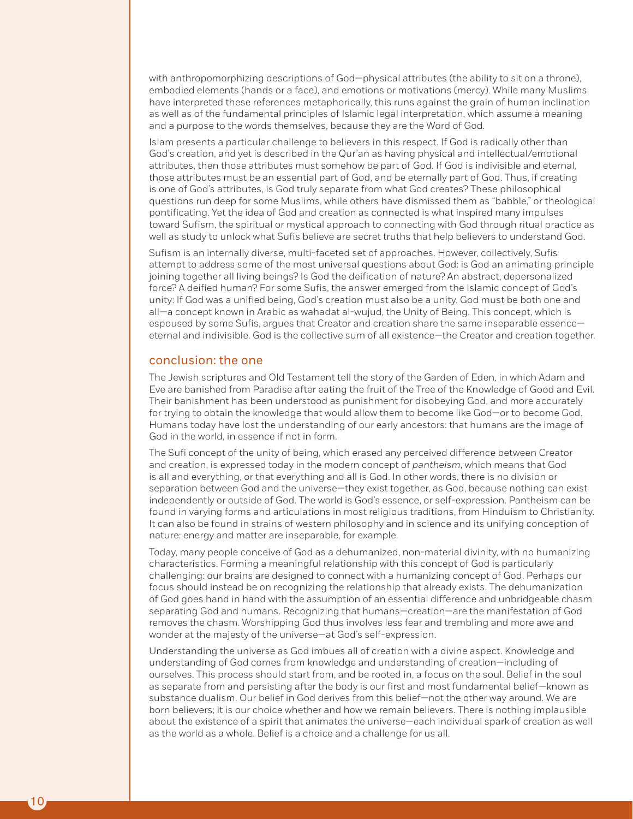with anthropomorphizing descriptions of God—physical attributes (the ability to sit on a throne), embodied elements (hands or a face), and emotions or motivations (mercy). While many Muslims have interpreted these references metaphorically, this runs against the grain of human inclination as well as of the fundamental principles of Islamic legal interpretation, which assume a meaning and a purpose to the words themselves, because they are the Word of God.

Islam presents a particular challenge to believers in this respect. If God is radically other than God's creation, and yet is described in the Qur'an as having physical and intellectual/emotional attributes, then those attributes must somehow be part of God. If God is indivisible and eternal, those attributes must be an essential part of God, and be eternally part of God. Thus, if creating is one of God's attributes, is God truly separate from what God creates? These philosophical questions run deep for some Muslims, while others have dismissed them as "babble," or theological pontificating. Yet the idea of God and creation as connected is what inspired many impulses toward Sufism, the spiritual or mystical approach to connecting with God through ritual practice as well as study to unlock what Sufis believe are secret truths that help believers to understand God.

Sufism is an internally diverse, multi-faceted set of approaches. However, collectively, Sufis attempt to address some of the most universal questions about God: is God an animating principle joining together all living beings? Is God the deification of nature? An abstract, depersonalized force? A deified human? For some Sufis, the answer emerged from the Islamic concept of God's unity: If God was a unified being, God's creation must also be a unity. God must be both one and all—a concept known in Arabic as wahadat al-wujud, the Unity of Being. This concept, which is espoused by some Sufis, argues that Creator and creation share the same inseparable essence eternal and indivisible. God is the collective sum of all existence—the Creator and creation together.

#### conclusion: the one

The Jewish scriptures and Old Testament tell the story of the Garden of Eden, in which Adam and Eve are banished from Paradise after eating the fruit of the Tree of the Knowledge of Good and Evil. Their banishment has been understood as punishment for disobeying God, and more accurately for trying to obtain the knowledge that would allow them to become like God—or to become God. Humans today have lost the understanding of our early ancestors: that humans are the image of God in the world, in essence if not in form.

The Sufi concept of the unity of being, which erased any perceived difference between Creator and creation, is expressed today in the modern concept of *pantheism*, which means that God is all and everything, or that everything and all is God. In other words, there is no division or separation between God and the universe—they exist together, as God, because nothing can exist independently or outside of God. The world is God's essence, or self-expression. Pantheism can be found in varying forms and articulations in most religious traditions, from Hinduism to Christianity. It can also be found in strains of western philosophy and in science and its unifying conception of nature: energy and matter are inseparable, for example.

Today, many people conceive of God as a dehumanized, non-material divinity, with no humanizing characteristics. Forming a meaningful relationship with this concept of God is particularly challenging: our brains are designed to connect with a humanizing concept of God. Perhaps our focus should instead be on recognizing the relationship that already exists. The dehumanization of God goes hand in hand with the assumption of an essential difference and unbridgeable chasm separating God and humans. Recognizing that humans—creation—are the manifestation of God removes the chasm. Worshipping God thus involves less fear and trembling and more awe and wonder at the majesty of the universe—at God's self-expression.

Understanding the universe as God imbues all of creation with a divine aspect. Knowledge and understanding of God comes from knowledge and understanding of creation—including of ourselves. This process should start from, and be rooted in, a focus on the soul. Belief in the soul as separate from and persisting after the body is our first and most fundamental belief—known as substance dualism. Our belief in God derives from this belief—not the other way around. We are born believers; it is our choice whether and how we remain believers. There is nothing implausible about the existence of a spirit that animates the universe—each individual spark of creation as well as the world as a whole. Belief is a choice and a challenge for us all.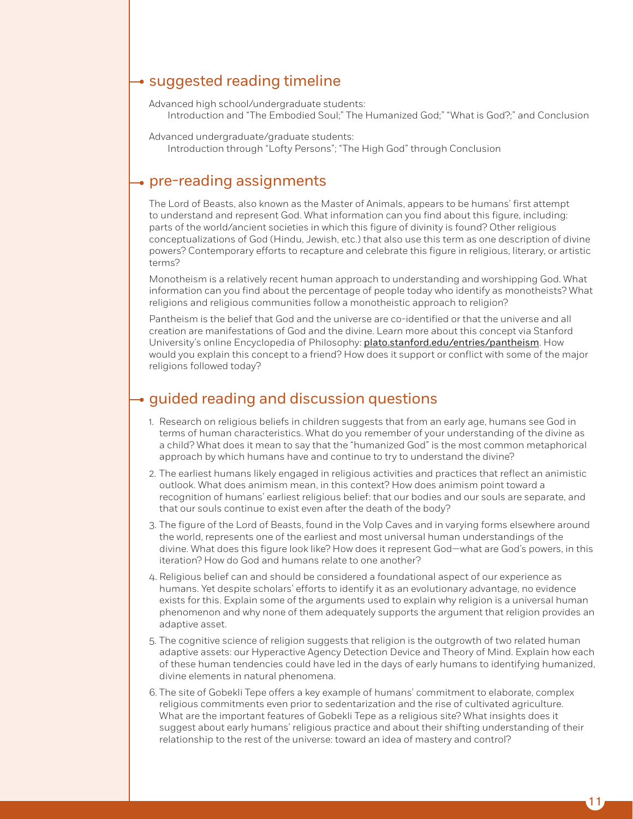# $\rightarrow$  suggested reading timeline

Advanced high school/undergraduate students: Introduction and "The Embodied Soul;" The Humanized God;" "What is God?;" and Conclusion

Advanced undergraduate/graduate students:

Introduction through "Lofty Persons"; "The High God" through Conclusion

## $\rightarrow$  pre-reading assignments

The Lord of Beasts, also known as the Master of Animals, appears to be humans' first attempt to understand and represent God. What information can you find about this figure, including: parts of the world/ancient societies in which this figure of divinity is found? Other religious conceptualizations of God (Hindu, Jewish, etc.) that also use this term as one description of divine powers? Contemporary efforts to recapture and celebrate this figure in religious, literary, or artistic terms?

Monotheism is a relatively recent human approach to understanding and worshipping God. What information can you find about the percentage of people today who identify as monotheists? What religions and religious communities follow a monotheistic approach to religion?

Pantheism is the belief that God and the universe are co-identified or that the universe and all creation are manifestations of God and the divine. Learn more about this concept via Stanford University's online Encyclopedia of Philosophy: plato.stanford.edu/entries/pantheism. How would you explain this concept to a friend? How does it support or conflict with some of the major religions followed today?

# $\rightarrow$  quided reading and discussion questions

- 1. Research on religious beliefs in children suggests that from an early age, humans see God in terms of human characteristics. What do you remember of your understanding of the divine as a child? What does it mean to say that the "humanized God" is the most common metaphorical approach by which humans have and continue to try to understand the divine?
- 2. The earliest humans likely engaged in religious activities and practices that reflect an animistic outlook. What does animism mean, in this context? How does animism point toward a recognition of humans' earliest religious belief: that our bodies and our souls are separate, and that our souls continue to exist even after the death of the body?
- 3. The figure of the Lord of Beasts, found in the Volp Caves and in varying forms elsewhere around the world, represents one of the earliest and most universal human understandings of the divine. What does this figure look like? How does it represent God—what are God's powers, in this iteration? How do God and humans relate to one another?
- 4. Religious belief can and should be considered a foundational aspect of our experience as humans. Yet despite scholars' efforts to identify it as an evolutionary advantage, no evidence exists for this. Explain some of the arguments used to explain why religion is a universal human phenomenon and why none of them adequately supports the argument that religion provides an adaptive asset.
- 5. The cognitive science of religion suggests that religion is the outgrowth of two related human adaptive assets: our Hyperactive Agency Detection Device and Theory of Mind. Explain how each of these human tendencies could have led in the days of early humans to identifying humanized, divine elements in natural phenomena.
- 6. The site of Gobekli Tepe offers a key example of humans' commitment to elaborate, complex religious commitments even prior to sedentarization and the rise of cultivated agriculture. What are the important features of Gobekli Tepe as a religious site? What insights does it suggest about early humans' religious practice and about their shifting understanding of their relationship to the rest of the universe: toward an idea of mastery and control?

11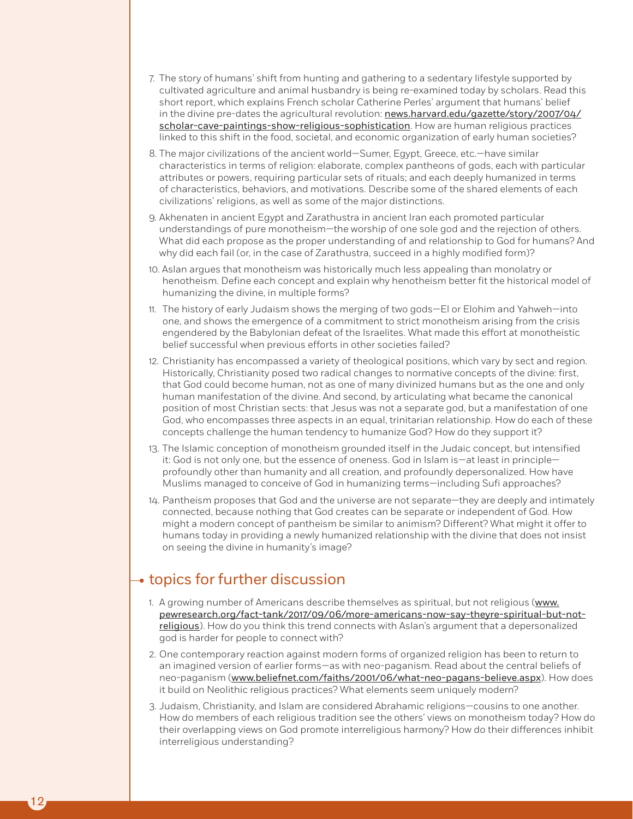- 7. The story of humans' shift from hunting and gathering to a sedentary lifestyle supported by cultivated agriculture and animal husbandry is being re-examined today by scholars. Read this short report, which explains French scholar Catherine Perles' argument that humans' belief in the divine pre-dates the agricultural revolution: news.harvard.edu/gazette/story/2007/04/ scholar-cave-paintings-show-religious-sophistication. How are human religious practices linked to this shift in the food, societal, and economic organization of early human societies?
- 8. The major civilizations of the ancient world—Sumer, Egypt, Greece, etc.—have similar characteristics in terms of religion: elaborate, complex pantheons of gods, each with particular attributes or powers, requiring particular sets of rituals; and each deeply humanized in terms of characteristics, behaviors, and motivations. Describe some of the shared elements of each civilizations' religions, as well as some of the major distinctions.
- 9. Akhenaten in ancient Egypt and Zarathustra in ancient Iran each promoted particular understandings of pure monotheism—the worship of one sole god and the rejection of others. What did each propose as the proper understanding of and relationship to God for humans? And why did each fail (or, in the case of Zarathustra, succeed in a highly modified form)?
- 10. Aslan argues that monotheism was historically much less appealing than monolatry or henotheism. Define each concept and explain why henotheism better fit the historical model of humanizing the divine, in multiple forms?
- 11. The history of early Judaism shows the merging of two gods—El or Elohim and Yahweh—into one, and shows the emergence of a commitment to strict monotheism arising from the crisis engendered by the Babylonian defeat of the Israelites. What made this effort at monotheistic belief successful when previous efforts in other societies failed?
- 12. Christianity has encompassed a variety of theological positions, which vary by sect and region. Historically, Christianity posed two radical changes to normative concepts of the divine: first, that God could become human, not as one of many divinized humans but as the one and only human manifestation of the divine. And second, by articulating what became the canonical position of most Christian sects: that Jesus was not a separate god, but a manifestation of one God, who encompasses three aspects in an equal, trinitarian relationship. How do each of these concepts challenge the human tendency to humanize God? How do they support it?
- 13. The Islamic conception of monotheism grounded itself in the Judaic concept, but intensified it: God is not only one, but the essence of oneness. God in Islam is—at least in principle profoundly other than humanity and all creation, and profoundly depersonalized. How have Muslims managed to conceive of God in humanizing terms—including Sufi approaches?
- 14. Pantheism proposes that God and the universe are not separate—they are deeply and intimately connected, because nothing that God creates can be separate or independent of God. How might a modern concept of pantheism be similar to animism? Different? What might it offer to humans today in providing a newly humanized relationship with the divine that does not insist on seeing the divine in humanity's image?

# $\rightarrow$  topics for further discussion

- 1. A growing number of Americans describe themselves as spiritual, but not religious (www. pewresearch.org/fact-tank/2017/09/06/more-americans-now-say-theyre-spiritual-but-notreligious). How do you think this trend connects with Aslan's argument that a depersonalized god is harder for people to connect with?
- 2. One contemporary reaction against modern forms of organized religion has been to return to an imagined version of earlier forms—as with neo-paganism. Read about the central beliefs of neo-paganism (www.beliefnet.com/faiths/2001/06/what-neo-pagans-believe.aspx). How does it build on Neolithic religious practices? What elements seem uniquely modern?
- 3. Judaism, Christianity, and Islam are considered Abrahamic religions—cousins to one another. How do members of each religious tradition see the others' views on monotheism today? How do their overlapping views on God promote interreligious harmony? How do their differences inhibit interreligious understanding?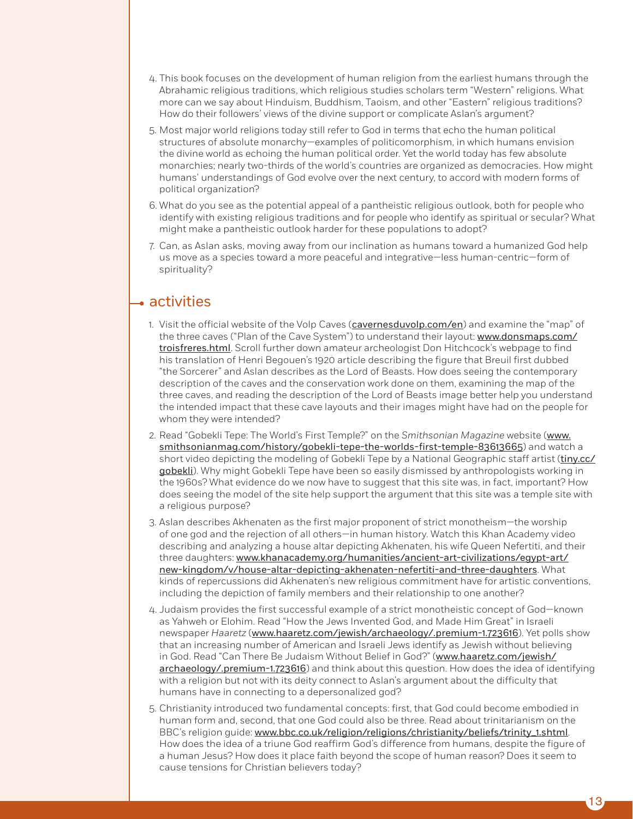- 4. This book focuses on the development of human religion from the earliest humans through the Abrahamic religious traditions, which religious studies scholars term "Western" religions. What more can we say about Hinduism, Buddhism, Taoism, and other "Eastern" religious traditions? How do their followers' views of the divine support or complicate Aslan's argument?
- 5. Most major world religions today still refer to God in terms that echo the human political structures of absolute monarchy—examples of politicomorphism, in which humans envision the divine world as echoing the human political order. Yet the world today has few absolute monarchies; nearly two-thirds of the world's countries are organized as democracies. How might humans' understandings of God evolve over the next century, to accord with modern forms of political organization?
- 6. What do you see as the potential appeal of a pantheistic religious outlook, both for people who identify with existing religious traditions and for people who identify as spiritual or secular? What might make a pantheistic outlook harder for these populations to adopt?
- 7. Can, as Aslan asks, moving away from our inclination as humans toward a humanized God help us move as a species toward a more peaceful and integrative—less human-centric—form of spirituality?

# $\rightarrow$  activities

- 1. Visit the official website of the Volp Caves (cavernesduvolp.com/en) and examine the "map" of the three caves ("Plan of the Cave System") to understand their layout: www.donsmaps.com/ troisfreres.html. Scroll further down amateur archeologist Don Hitchcock's webpage to find his translation of Henri Begouen's 1920 article describing the figure that Breuil first dubbed "the Sorcerer" and Aslan describes as the Lord of Beasts. How does seeing the contemporary description of the caves and the conservation work done on them, examining the map of the three caves, and reading the description of the Lord of Beasts image better help you understand the intended impact that these cave layouts and their images might have had on the people for whom they were intended?
- 2. Read "Gobekli Tepe: The World's First Temple?" on the *Smithsonian Magazine* website (www. smithsonianmag.com/history/gobekli-tepe-the-worlds-first-temple-83613665) and watch a short video depicting the modeling of Gobekli Tepe by a National Geographic staff artist (tiny.cc/ gobekli). Why might Gobekli Tepe have been so easily dismissed by anthropologists working in the 1960s? What evidence do we now have to suggest that this site was, in fact, important? How does seeing the model of the site help support the argument that this site was a temple site with a religious purpose?
- 3. Aslan describes Akhenaten as the first major proponent of strict monotheism—the worship of one god and the rejection of all others—in human history. Watch this Khan Academy video describing and analyzing a house altar depicting Akhenaten, his wife Queen Nefertiti, and their three daughters: www.khanacademy.org/humanities/ancient-art-civilizations/egypt-art/ new-kingdom/v/house-altar-depicting-akhenaten-nefertiti-and-three-daughters. What kinds of repercussions did Akhenaten's new religious commitment have for artistic conventions, including the depiction of family members and their relationship to one another?
- 4. Judaism provides the first successful example of a strict monotheistic concept of God—known as Yahweh or Elohim. Read "How the Jews Invented God, and Made Him Great" in Israeli newspaper *Haaretz* (www.haaretz.com/jewish/archaeology/.premium-1.723616). Yet polls show that an increasing number of American and Israeli Jews identify as Jewish without believing in God. Read "Can There Be Judaism Without Belief in God?" (www.haaretz.com/jewish/ archaeology/.premium-1.723616) and think about this question. How does the idea of identifying with a religion but not with its deity connect to Aslan's argument about the difficulty that humans have in connecting to a depersonalized god?
- 5. Christianity introduced two fundamental concepts: first, that God could become embodied in human form and, second, that one God could also be three. Read about trinitarianism on the BBC's religion guide: www.bbc.co.uk/religion/religions/christianity/beliefs/trinity\_1.shtml. How does the idea of a triune God reaffirm God's difference from humans, despite the figure of a human Jesus? How does it place faith beyond the scope of human reason? Does it seem to cause tensions for Christian believers today?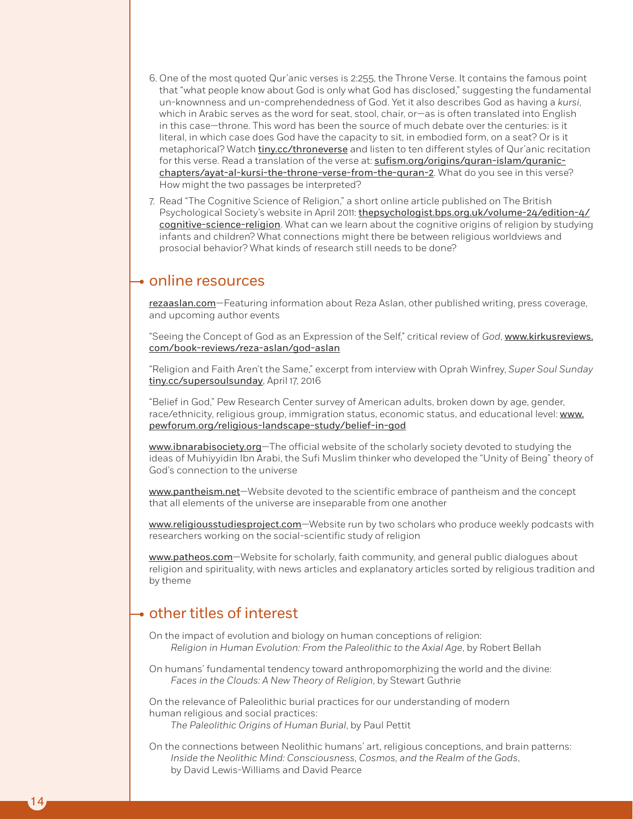- 6. One of the most quoted Qur'anic verses is 2:255, the Throne Verse. It contains the famous point that "what people know about God is only what God has disclosed," suggesting the fundamental un-knownness and un-comprehendedness of God. Yet it also describes God as having a *kursi*, which in Arabic serves as the word for seat, stool, chair, or—as is often translated into English in this case—throne. This word has been the source of much debate over the centuries: is it literal, in which case does God have the capacity to sit, in embodied form, on a seat? Or is it metaphorical? Watch tiny.cc/throneverse and listen to ten different styles of Qur'anic recitation for this verse. Read a translation of the verse at: sufism.org/origins/guran-islam/guranicchapters/ayat-al-kursi-the-throne-verse-from-the-quran-2. What do you see in this verse? How might the two passages be interpreted?
- 7. Read "The Cognitive Science of Religion," a short online article published on The British Psychological Society's website in April 2011: *thepsychologist.bps.org.uk/volume-24/edition-4/* cognitive-science-religion. What can we learn about the cognitive origins of religion by studying infants and children? What connections might there be between religious worldviews and prosocial behavior? What kinds of research still needs to be done?

## online resources

rezaaslan.com—Featuring information about Reza Aslan, other published writing, press coverage, and upcoming author events

"Seeing the Concept of God as an Expression of the Self," critical review of *God*, www.kirkusreviews. com/book-reviews/reza-aslan/god-aslan

"Religion and Faith Aren't the Same," excerpt from interview with Oprah Winfrey, *Super Soul Sunday* tiny.cc/supersoulsunday, April 17, 2016

"Belief in God," Pew Research Center survey of American adults, broken down by age, gender, race/ethnicity, religious group, immigration status, economic status, and educational level: www. pewforum.org/religious-landscape-study/belief-in-god

www.ibnarabisociety.org-The official website of the scholarly society devoted to studying the ideas of Muhiyyidin Ibn Arabi, the Sufi Muslim thinker who developed the "Unity of Being" theory of God's connection to the universe

www.pantheism.net—Website devoted to the scientific embrace of pantheism and the concept that all elements of the universe are inseparable from one another

www.religiousstudiesproject.com-Website run by two scholars who produce weekly podcasts with researchers working on the social-scientific study of religion

www.patheos.com-Website for scholarly, faith community, and general public dialogues about religion and spirituality, with news articles and explanatory articles sorted by religious tradition and by theme

# $\rightarrow$  other titles of interest

On the impact of evolution and biology on human conceptions of religion: *Religion in Human Evolution: From the Paleolithic to the Axial Age*, by Robert Bellah

On humans' fundamental tendency toward anthropomorphizing the world and the divine: *Faces in the Clouds: A New Theory of Religion*, by Stewart Guthrie

On the relevance of Paleolithic burial practices for our understanding of modern human religious and social practices: *The Paleolithic Origins of Human Burial*, by Paul Pettit

On the connections between Neolithic humans' art, religious conceptions, and brain patterns: *Inside the Neolithic Mind: Consciousness, Cosmos, and the Realm of the Gods*, by David Lewis-Williams and David Pearce

14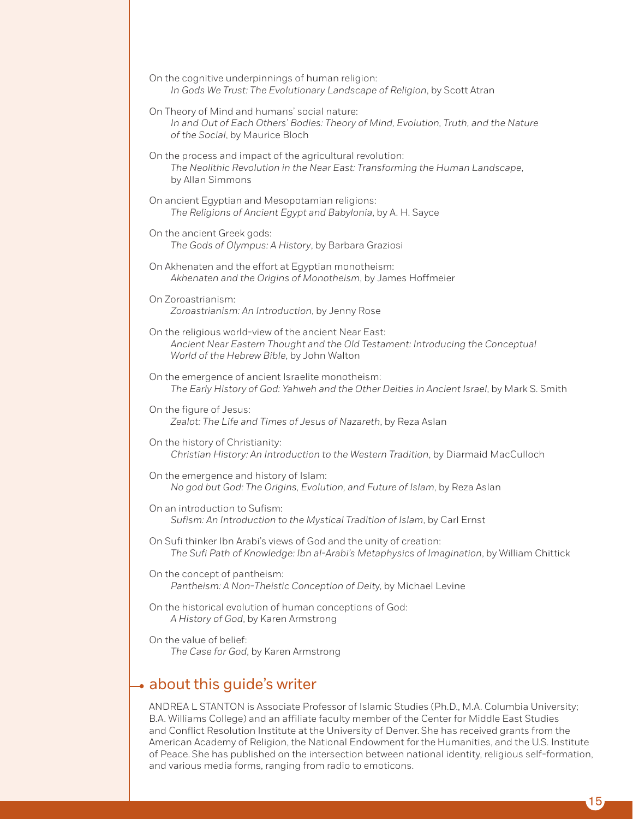- On the cognitive underpinnings of human religion: *In Gods We Trust: The Evolutionary Landscape of Religion*, by Scott Atran
- On Theory of Mind and humans' social nature: *In and Out of Each Others' Bodies: Theory of Mind, Evolution, Truth, and the Nature of the Social*, by Maurice Bloch
- On the process and impact of the agricultural revolution: *The Neolithic Revolution in the Near East: Transforming the Human Landscape*, by Allan Simmons
- On ancient Egyptian and Mesopotamian religions: *The Religions of Ancient Egypt and Babylonia*, by A. H. Sayce
- On the ancient Greek gods: *The Gods of Olympus: A History*, by Barbara Graziosi
- On Akhenaten and the effort at Egyptian monotheism: *Akhenaten and the Origins of Monotheism*, by James Hoffmeier
- On Zoroastrianism: *Zoroastrianism: An Introduction*, by Jenny Rose
- On the religious world-view of the ancient Near East: *Ancient Near Eastern Thought and the Old Testament: Introducing the Conceptual World of the Hebrew Bible*, by John Walton
- On the emergence of ancient Israelite monotheism: *The Early History of God: Yahweh and the Other Deities in Ancient Israel*, by Mark S. Smith
- On the figure of Jesus: *Zealot: The Life and Times of Jesus of Nazareth*, by Reza Aslan
- On the history of Christianity: *Christian History: An Introduction to the Western Tradition*, by Diarmaid MacCulloch
- On the emergence and history of Islam: *No god but God: The Origins, Evolution, and Future of Islam*, by Reza Aslan
- On an introduction to Sufism: *Sufism: An Introduction to the Mystical Tradition of Islam*, by Carl Ernst
- On Sufi thinker Ibn Arabi's views of God and the unity of creation: *The Sufi Path of Knowledge: Ibn al-Arabi's Metaphysics of Imagination*, by William Chittick
- On the concept of pantheism: *Pantheism: A Non-Theistic Conception of Deit*y, by Michael Levine
- On the historical evolution of human conceptions of God: *A History of God*, by Karen Armstrong
- On the value of belief: *The Case for God*, by Karen Armstrong

# $\rightarrow$  about this guide's writer

ANDREA L STANTON is Associate Professor of Islamic Studies (Ph.D., M.A. Columbia University; B.A. Williams College) and an affiliate faculty member of the Center for Middle East Studies and Conflict Resolution Institute at the University of Denver. She has received grants from the American Academy of Religion, the National Endowment for the Humanities, and the U.S. Institute of Peace. She has published on the intersection between national identity, religious self-formation, and various media forms, ranging from radio to emoticons.